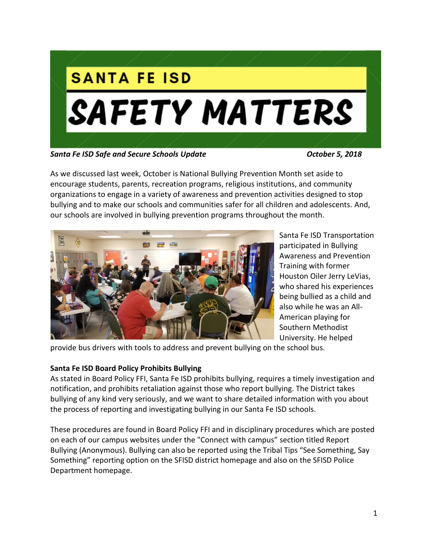

*Santa Fe ISD Safe and Secure Schools Update October 5, 2018*

As we discussed last week, October is National Bullying Prevention Month set aside to encourage students, parents, recreation programs, religious institutions, and community organizations to engage in a variety of awareness and prevention activities designed to stop bullying and to make our schools and communities safer for all children and adolescents. And, our schools are involved in bullying prevention programs throughout the month.



Santa Fe ISD Transportation participated in Bullying Awareness and Prevention Training with former Houston Oiler Jerry LeVias, who shared his experiences being bullied as a child and also while he was an All-American playing for Southern Methodist University. He helped

provide bus drivers with tools to address and prevent bullying on the school bus.

# **Santa Fe ISD Board Policy Prohibits Bullying**

As stated in Board Policy FFI, Santa Fe ISD prohibits bullying, requires a timely investigation and notification, and prohibits retaliation against those who report bullying. The District takes bullying of any kind very seriously, and we want to share detailed information with you about the process of reporting and investigating bullying in our Santa Fe ISD schools.

These procedures are found in Board Policy FFI and in disciplinary procedures which are posted on each of our campus websites under the "Connect with campus" section titled Report Bullying (Anonymous). Bullying can also be reported using the Tribal Tips "See Something, Say Something" reporting option on the SFISD district homepage and also on the SFISD Police Department homepage.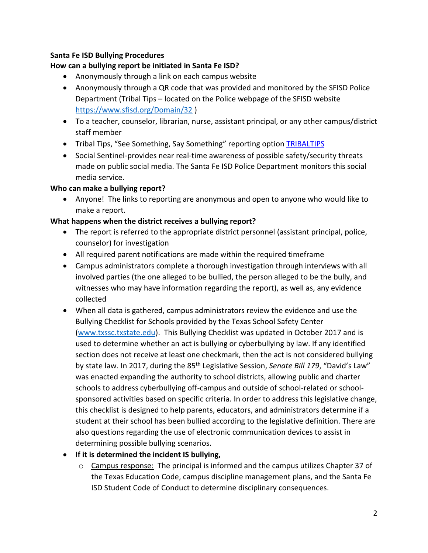## **Santa Fe ISD Bullying Procedures**

# **How can a bullying report be initiated in Santa Fe ISD?**

- Anonymously through a link on each campus website
- Anonymously through a QR code that was provided and monitored by the SFISD Police Department (Tribal Tips – located on the Police webpage of the SFISD website <https://www.sfisd.org/Domain/32> )
- To a teacher, counselor, librarian, nurse, assistant principal, or any other campus/district staff member
- Tribal Tips, "See Something, Say Something" reporting option **[TRIBALTIPS](https://tx02215329.schoolwires.net/cms/lib/TX02215329/Centricity/domain/32/police%20pdfs/Tribal%20Tips%20web%20page%20pic3.pdf)**
- Social Sentinel-provides near real-time awareness of possible safety/security threats made on public social media. The Santa Fe ISD Police Department monitors this social media service.

#### **Who can make a bullying report?**

 Anyone! The links to reporting are anonymous and open to anyone who would like to make a report.

# **What happens when the district receives a bullying report?**

- The report is referred to the appropriate district personnel (assistant principal, police, counselor) for investigation
- All required parent notifications are made within the required timeframe
- Campus administrators complete a thorough investigation through interviews with all involved parties (the one alleged to be bullied, the person alleged to be the bully, and witnesses who may have information regarding the report), as well as, any evidence collected
- When all data is gathered, campus administrators review the evidence and use the Bullying Checklist for Schools provided by the Texas School Safety Center [\(www.txssc.txstate.edu\)](http://www.txssc.txstate.edu/). This Bullying Checklist was updated in October 2017 and is used to determine whether an act is bullying or cyberbullying by law. If any identified section does not receive at least one checkmark, then the act is not considered bullying by state law. In 2017, during the 85<sup>th</sup> Legislative Session, *Senate Bill 179*, "David's Law" was enacted expanding the authority to school districts, allowing public and charter schools to address cyberbullying off-campus and outside of school-related or schoolsponsored activities based on specific criteria. In order to address this legislative change, this checklist is designed to help parents, educators, and administrators determine if a student at their school has been bullied according to the legislative definition. There are also questions regarding the use of electronic communication devices to assist in determining possible bullying scenarios.

# **If it is determined the incident IS bullying,**

 $\circ$  Campus response: The principal is informed and the campus utilizes Chapter 37 of the Texas Education Code, campus discipline management plans, and the Santa Fe ISD Student Code of Conduct to determine disciplinary consequences.